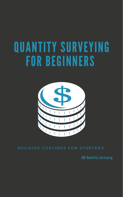# QUANTITY SURVEYING FOR BEGINNERS



# BUILDING COSTINGS FOR STARTERS

JBG Quantity Surveying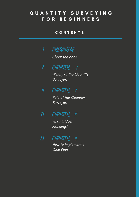### QUANTITY SURVEYING F O R B E G I N N E R S

#### C O N T E N T S



About the book

2 CHAPTER 1

History of the Quantity Surveyor.

4 CHAPTER 2

> Role of the Quantity Surveyor.

 $\boldsymbol{n}$ CHAPTER 3

> What is Cost Planning?



How to Implement a Cost Plan.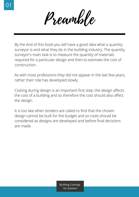Preamble

By the end of this book you will have a good idea what a quantity surveyor is and what they do in the building industry. The quantity surveyor's main task is to measure the quantity of materials required for a particular design and then to estimate the cost of construction.

As with most professions they did not appear in the last few years, rather their role has developed slowly.

Costing during design is an important first step, the design affects the cost of a building and so therefore the cost should also affect the design.

It is too late when tenders are called to find that the chosen design cannot be built for the budget and so costs should be considered as designs are developed and before final decisions are made.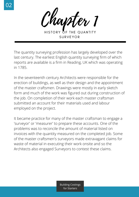

HISTORY OF THE QUANTITY SURVEYOR

The quantity surveying profession has largely developed over the last century. The earliest English quantity surveying firm of which reports are available is a firm in Reading, UK which was operating in 1785.

In the seventeenth century Architects were responsible for the erection of buildings, as well as their design and the appointment of the master craftsmen. Drawings were mostly in early sketch form and much of the work was figured out during construction of the job. On completion of their work each master craftsman submitted an account for their materials used and labour employed on the project.

It became practice for many of the master craftsman to engage a 'surveyor' or 'measurer' to prepare these accounts. One of the problems was to reconcile the amount of material listed on invoices with the quantity measured on the completed job. Some of the master craftsmen's surveyors made extravagant claims for waste of material in executing their work onsite and so the Architects also engaged Surveyors to contest these claims.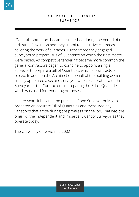General contractors became established during the period of the Industrial Revolution and they submitted inclusive estimates covering the work of all trades. Furthermore they engaged surveyors to prepare Bills of Quantities on which their estimates were based. As competitive tendering became more common the general contractors began to combine to appoint a single surveyor to prepare a Bill of Quantities, which all contractors priced. In addition the Architect on behalf of the building owner usually appointed a second surveyor, who collaborated with the Surveyor for the Contractors in preparing the Bill of Quantities, which was used for tendering purposes.

In later years it became the practice of one Surveyor only who prepared an accurate Bill of Quantities and measured any variations that arose during the progress on the job. That was the origin of the independent and impartial Quantity Surveyor as they operate today.

The University of Newcastle 2002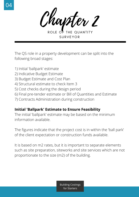Chapter 2

ROLE OF THE QUANTITY SURVEYOR

The QS role in a property development can be split into the following broad stages:

- 1) Initial 'ballpark' estimate
- 2) Indicative Budget Estimate
- 3) Budget Estimate and Cost Plan
- 4) Structural estimate to check Item 3
- 5) Cost checks during the design period
- 6) Final pre-tender estimate or Bill of Quantities and Estimate
- 7) Contracts Administration during construction

#### **Initial 'Ballpark' Estimate to Ensure Feasibility**

The initial 'ballpark' estimate may be based on the minimum information available.

The figures indicate that the project cost is in within the 'ball park' of the client expectation or construction funds available.

It is based on m2 rates, but it is important to separate elements such as site preparation, siteworks and site services which are not proportionate to the size (m2) of the building.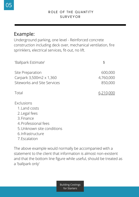# Example:

Underground parking, one level - Reinforced concrete construction including deck over, mechanical ventilation, fire sprinklers, electrical services, fit-out, no lift.

| 'Ballpark Estimate'                                                                                                                   | \$                              |
|---------------------------------------------------------------------------------------------------------------------------------------|---------------------------------|
| Site Preparation<br>Carpark 3,500m2 x 1,360<br>Siteworks and Site Services                                                            | 600,000<br>4,760,000<br>850,000 |
| Total                                                                                                                                 | 6,210,000                       |
| Exclusions<br>1. Land costs<br>2. Legal fees<br>3. Finance<br>4. Professional fees<br>5. Unknown site conditions<br>6. Infrastructure |                                 |

7. Escalation

The above example would normally be accompanied with a statement to the client that information is almost non-existent and that the bottom line figure while useful, should be treated as a 'ballpark only'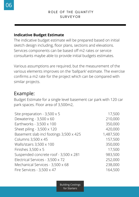#### **Indicative Budget Estimate**

The indicative budget estimate will be prepared based on initial sketch design including, floor plans, sections and elevations. Services components can be based off m2 rates or service consultants maybe able to provide initial budgets estimates.

Various assumptions are required, but the measurement of the various elements improves on the 'ballpark' estimate. The exercise confirms a m2 rate for the project which can be compared with similar projects.

## Example:

Budget Estimate for a single level basement car park with 120 car park spaces. Floor area of 3,500m2,

| Site preparation - $3,500 \times 5$     | 17,500    |
|-----------------------------------------|-----------|
| Dewatering - $3,500 \times 60$          | 210,000   |
| Earthworks - 3,500 x 100                | 350,000   |
| Sheet piling - 3,500 x 120              | 420,000   |
| Basement slab incl footings 3,500 x 425 | 1,487,500 |
| Columns 3,500 x 45                      | 157,500   |
| Walls/stairs 3,500 x 100                | 350,000   |
| Finishes $3,500 \times 5$               | 17,500    |
| Suspended concrete roof - 3,500 x 281   | 983,500   |
| Electrical Services - 3,500 x 72        | 252,000   |
| Mechanical Services - 3,500 x 68        | 238,000   |
| Fire Services - $3,500 \times 47$       | 164,500   |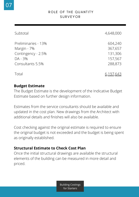| Subtotal                                                                                | 4,648,000                                           |
|-----------------------------------------------------------------------------------------|-----------------------------------------------------|
| Preliminaries - 13%<br>Margin - 7%<br>Contingency - 2.5%<br>DA - 3%<br>Consultants 5.5% | 604,240<br>367,657<br>131,306<br>157,567<br>288,873 |
| Total                                                                                   | 6,197,643                                           |

#### **Budget Estimate**

The Budget Estimate is the development of the Indicative Budget Estimate based on further design information.

Estimates from the service consultants should be available and updated in the cost plan. New drawings from the Architect with additional details and finishes will also be available.

Cost checking against the original estimate is required to ensure the original budget is not exceeded and the budget is being spent as originally established.

#### **Structural Estimate to Check Cost Plan**

Once the initial structural drawings are available the structural elements of the building can be measured in more detail and priced.

Building Costings for Starters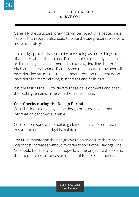Generally the structural drawings will be based off a geotechnical report. This report is also used to price the site preparation works more accurately.

The design process is constantly developing as more things are discovered about the project. For example at the early stages the architect may have documented an awning detailing the roof pitch and general shape. By this stage the structural engineer will have detailed structural steel member sizes and the architect will have detailed material type, gutter sizes and flashing's.

It is the task of the QS to identify these developments and check the costing remains inline with the first estimate.

#### **Cost Checks during the Design Period**

Cost checks are ongoing as the design progresses and more information becomes available.

Cost comparisons of the building elements may be required to ensure the original budget is maintained.

The QS is monitoring the design evolution to ensure there are no major cost increases without consideration of other savings. The QS should be familiar with all aspects of the project to the extent, that there are no surprises on receipt of tender documents.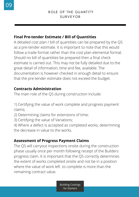#### **Final Pre-tender Estimate / Bill of Quantities**

A detailed cost plan / bill of quantities can be prepared by the QS as a pre-tender estimate. It is important to note that this would follow a trade format rather than the cost plan elemental format. Should no bill of quantities be prepared then a final check estimate is carried out. This may not be fully detailed due to the great detail of information, time and fee, available. The documentation is however checked in enough detail to ensure that the pre-tender estimate does not exceed the budget.

#### **Contracts Administration**

The main role of the QS during construction include:

1) Certifying the value of work complete and progress payment claims;

2) Determining claims for extensions of time;

3) Certifying the value of Variations;

4) Where a defect is accepted as completed works, determining the decrease in value to the works.

#### **Assessment of Progress Payment Claims**

The QS will carryout inspections onsite during the construction phase usually once per month following receipt of the Builders progress claim. It is important that the QS correctly determines the extent of works completed onsite and not be in a position where the value of work left to complete is more than the remaining contract value.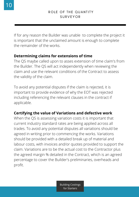If for any reason the Builder was unable to complete the project it is important that the unclaimed amount is enough to complete the remainder of the works.

#### **Determining claims for extensions of time**

The QS maybe called upon to asses extension of time claim's from the Builder. The QS will act independently when reviewing the claim and use the relevant conditions of the Contract to assess the validity of the claim.

To avoid any potential disputes if the claim is rejected, it is important to provide evidence of why the EOT was rejected including referencing the relevant clauses in the contract if applicable.

#### **Certifying the value of Variations and defective work**

When the QS is assessing variation costs it is important that current industry standard rates are being applied across all trades. To avoid any potential disputes all variations should be agreed in writing prior to commencing the works. Variations should be provided with a detailed break up of material and labour costs, with invoices and/or quotes provided to support the claim. Variations are to be the actual cost to the Contractor plus the agreed margin % detailed in the Contract, which is an agreed percentage to cover the Builder's preliminaries, overheads and profit.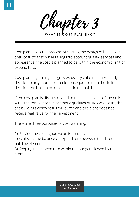WHAT IS COST PLANNING?

Cost planning is the process of relating the design of buildings to their cost, so that, while taking into account quality, services and appearance, the cost is planned to be within the economic limit of expenditure.

Cost planning during design is especially critical as these early decisions carry more economic consequence than the limited decisions which can be made later in the build.

If the cost plan is directly related to the capital costs of the build with little thought to the aesthetic qualities or life cycle costs, then the buildings which result will suffer and the client does not receive real value for their investment.

There are three purposes of cost planning:

1) Provide the client good value for money

2) Achieving the balance of expenditure between the different building elements

3) Keeping the expenditure within the budget allowed by the client.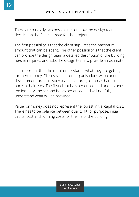There are basically two possibilities on how the design team decides on the first estimate for the project.

The first possibility is that the client stipulates the maximum amount that can be spent. The other possibility is that the client can provide the design team a detailed description of the building he/she requires and asks the design team to provide an estimate.

It is important that the client understands what they are getting for there money. Clients range from organisations with continual development projects such as chain stores, to those that build once in their lives. The first client is experienced and understands the industry, the second is inexperienced and will not fully understand what will be provided.

Value for money does not represent the lowest initial capital cost. There has to be balance between quality, fit for purpose, initial capital cost and running costs for the life of the building.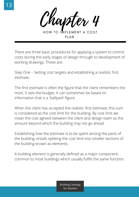Chapter 4

HOW TO IMPLEMENT A COST PLAN

There are three basic procedures for applying a system to control costs during the early stages of design through to development of working drawings. These are:

Step One – Setting cost targets and establishing a realistic first estimate.

The first estimate is often the figure that the client remembers the most. It sets the budget. It can sometimes be based on information that is a 'ballpark' figure.

When the client has accepted the realistic first estimate, this sum is considered as the cost limit for the building. By cost limit we mean the cost agreed between the client and design team as the amount beyond which the building may not go ahead.

Establishing how the estimate is to be spent among the parts of the building, entails splitting the cost limit into smaller sections of the building known as elements.

A building element is generally defined as a major component common to most buildings which usually fulfils the same function.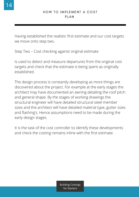Having established the realistic first estimate and our cost targets we move onto step two.

Step Two – Cost checking against original estimate

Is used to detect and measure departures from the original cost targets and check that the estimate is being spent as originally established.

The design process is constantly developing as more things are discovered about the project. For example at the early stages the architect may have documented an awning detailing the roof pitch and general shape. By the stages of working drawings the structural engineer will have detailed structural steel member sizes and the architect will have detailed material type, gutter sizes and flashing's. Hence assumptions need to be made during the early design stages.

It is the task of the cost controller to identify these developments and check the costing remains inline with the first estimate.